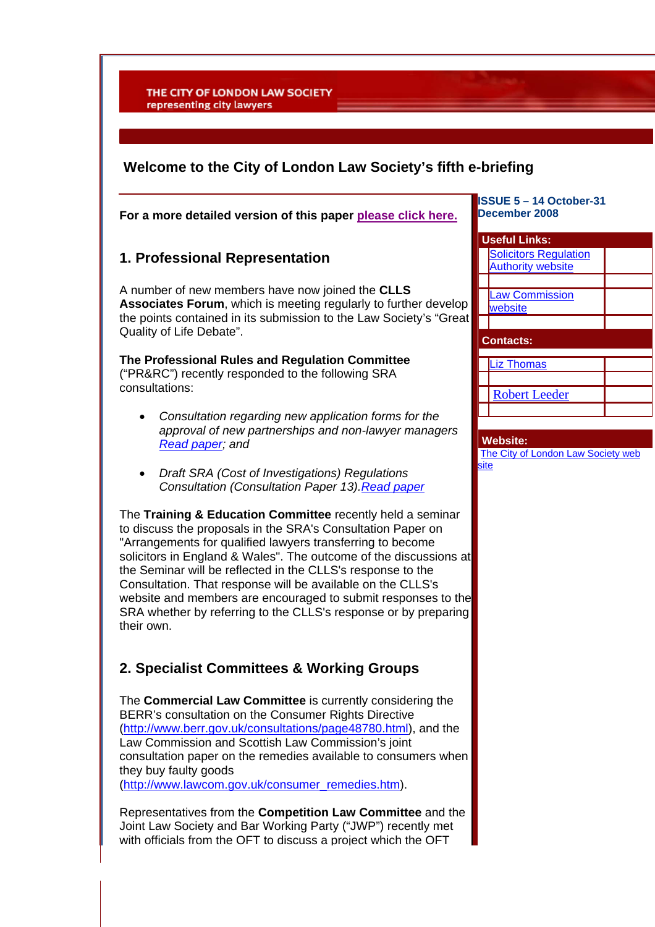THE CITY OF LONDON LAW SOCIETY representing city lawyers

## **Welcome to the City of London Law Society's fifth e-briefing**

**For a more detailed version of this paper please click here.**

## **1. Professional Representation**

A number of new members have now joined the **CLLS Associates Forum**, which is meeting regularly to further develop the points contained in its submission to the Law Society's "Great Quality of Life Debate".

### **The Professional Rules and Regulation Committee** ("PR&RC") recently responded to the following SRA consultations:

- *Consultation regarding new application forms for the approval of new partnerships and non-lawyer managers [Read paper](http://www.citysolicitors.org.uk/FileServer.aspx?oID=440&lID=0); and*
- *Draft SRA (Cost of Investigations) Regulations Consultation (Consultation Paper 13)[.Read paper](http://www.citysolicitors.org.uk/FileServer.aspx?oID=478&lID=0)*

The **Training & Education Committee** recently held a seminar to discuss the proposals in the SRA's Consultation Paper on "Arrangements for qualified lawyers transferring to become solicitors in England & Wales". The outcome of the discussions at the Seminar will be reflected in the CLLS's response to the Consultation. That response will be available on the CLLS's website and members are encouraged to submit responses to the SRA whether by referring to the CLLS's response or by preparing their own.

## **2. Specialist Committees & Working Groups**

The **Commercial Law Committee** is currently considering the BERR's consultation on the Consumer Rights Directive [\(http://www.berr.gov.uk/consultations/page48780.html\)](http://www.berr.gov.uk/consultations/page48780.html), and the Law Commission and Scottish Law Commission's joint consultation paper on the remedies available to consumers when they buy faulty goods

[\(http://www.lawcom.gov.uk/consumer\\_remedies.htm](http://www.lawcom.gov.uk/consumer_remedies.htm)).

Representatives from the **Competition Law Committee** and the Joint Law Society and Bar Working Party ("JWP") recently met with officials from the OFT to discuss a project which the OFT

#### **ISSUE 5 – 14 October-31 December 2008**

# **Useful Links:** [Solicitors Regulation](http://www.sra.org.uk/)  [Authority website](http://www.sra.org.uk/) Law Commission [website](http://www.lawcom.gov.uk/)  **Contacts:**  [Liz Thomas](mailto:mail@citysolicitors.org.uk) [Robert Leeder](mailto:Robert.Leeder@citysolicitors.org.uk)

#### **Website:**

[The City of London Law Society web](http://www.citysolicitors.org.uk/)  [site](http://www.citysolicitors.org.uk/)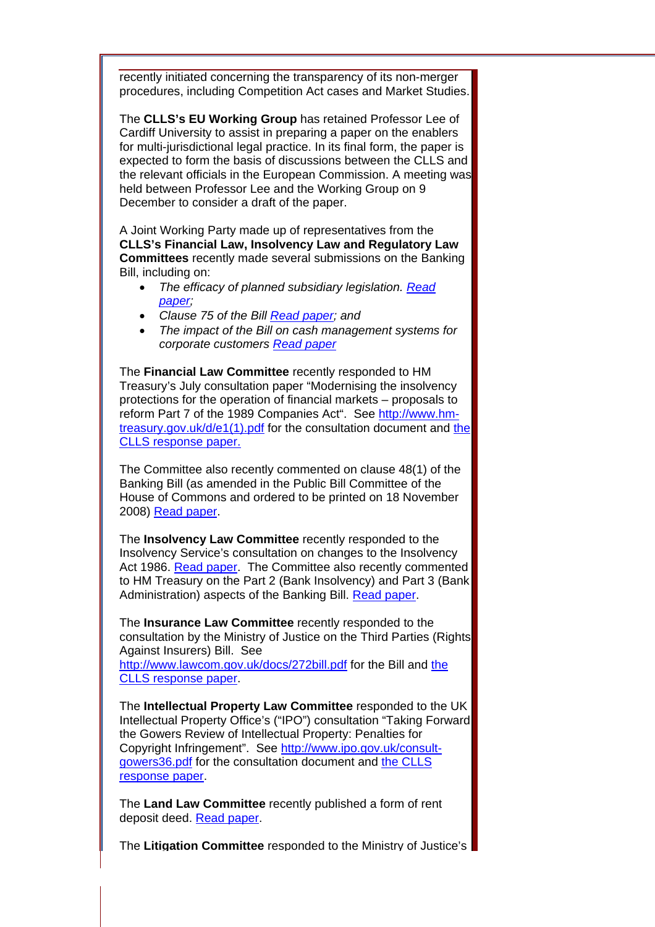recently initiated concerning the transparency of its non-merger procedures, including Competition Act cases and Market Studies.

The **CLLS's EU Working Group** has retained Professor Lee of Cardiff University to assist in preparing a paper on the enablers for multi-jurisdictional legal practice. In its final form, the paper is expected to form the basis of discussions between the CLLS and the relevant officials in the European Commission. A meeting was held between Professor Lee and the Working Group on 9 December to consider a draft of the paper.

A Joint Working Party made up of representatives from the **CLLS's Financial Law, Insolvency Law and Regulatory Law Committees** recently made several submissions on the Banking Bill, including on:

- *The efficacy of planned subsidiary legislation. [Read](http://www.citysolicitors.org.uk/FileServer.aspx?oID=485&lID=0)  [paper;](http://www.citysolicitors.org.uk/FileServer.aspx?oID=485&lID=0)*
- *Clause 75 of the Bill [Read paper](http://www.citysolicitors.org.uk/FileServer.aspx?oID=487&lID=0); and*
- *The impact of the Bill on cash management systems for corporate customers [Read paper](http://www.citysolicitors.org.uk/FileServer.aspx?oID=486&lID=0)*

The **Financial Law Committee** recently responded to HM Treasury's July consultation paper "Modernising the insolvency protections for the operation of financial markets – proposals to reform Part 7 of the 1989 Companies Act". See [http://www.hm](http://www.hm-treasury.gov.uk/d/e1(1).pdf)[treasury.gov.uk/d/e1\(1\).pdf](http://www.hm-treasury.gov.uk/d/e1(1).pdf) for the consultation document and [the](http://www.citysolicitors.org.uk/FileServer.aspx?oID=442&lID=0)  [CLLS response paper.](http://www.citysolicitors.org.uk/FileServer.aspx?oID=442&lID=0)

The Committee also recently commented on clause 48(1) of the Banking Bill (as amended in the Public Bill Committee of the House of Commons and ordered to be printed on 18 November 2008) [Read paper](http://www.citysolicitors.org.uk/FileServer.aspx?oID=477&lID=0).

The **Insolvency Law Committee** recently responded to the Insolvency Service's consultation on changes to the Insolvency Act 1986. [Read paper.](http://www.citysolicitors.org.uk/FileServer.aspx?oID=445&lID=0) The Committee also recently commented to HM Treasury on the Part 2 (Bank Insolvency) and Part 3 (Bank Administration) aspects of the Banking Bill. [Read paper.](http://www.citysolicitors.org.uk/FileServer.aspx?oID=488&lID=0)

The **Insurance Law Committee** recently responded to the consultation by the Ministry of Justice on the Third Parties (Rights Against Insurers) Bill. See

http://www.lawcom.gov.uk/docs/272bill.pdf for the Bill and [the](http://www.citysolicitors.org.uk/FileServer.aspx?oID=474&lID=0)  [CLLS response paper.](http://www.citysolicitors.org.uk/FileServer.aspx?oID=474&lID=0)

The **Intellectual Property Law Committee** responded to the UK Intellectual Property Office's ("IPO") consultation "Taking Forward the Gowers Review of Intellectual Property: Penalties for Copyright Infringement". See [http://www.ipo.gov.uk/consult](http://www.ipo.gov.uk/consult-gowers36.pdf)[gowers36.pdf](http://www.ipo.gov.uk/consult-gowers36.pdf) for the consultation document and [the CLLS](http://www.citysolicitors.org.uk/FileServer.aspx?oID=452&lID=0)  [response paper](http://www.citysolicitors.org.uk/FileServer.aspx?oID=452&lID=0).

The **Land Law Committee** recently published a form of rent deposit deed. [Read paper](http://www.citysolicitors.org.uk/FileServer.aspx?oID=479&lID=0).

The **Litigation Committee** responded to the Ministry of Justice's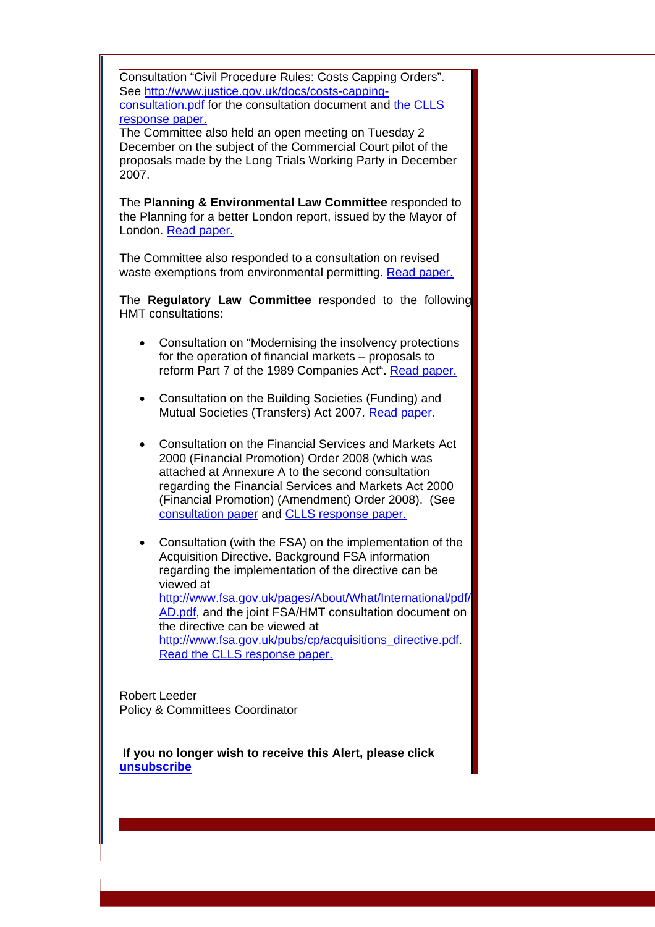Consultation "Civil Procedure Rules: Costs Capping Orders". See [http://www.justice.gov.uk/docs/costs-capping](http://www.justice.gov.uk/docs/costs-capping-consultation.pdf)[consultation.pdf](http://www.justice.gov.uk/docs/costs-capping-consultation.pdf) for the consultation document and [the CLLS](http://www.citysolicitors.org.uk/FileServer.aspx?oID=456&lID=0)  [response paper.](http://www.citysolicitors.org.uk/FileServer.aspx?oID=456&lID=0)

The Committee also held an open meeting on Tuesday 2 December on the subject of the Commercial Court pilot of the proposals made by the Long Trials Working Party in December 2007.

The **Planning & Environmental Law Committee** responded to the Planning for a better London report, issued by the Mayor of London. [Read paper.](http://www.citysolicitors.org.uk/FileServer.aspx?oID=454&lID=0)

The Committee also responded to a consultation on revised waste exemptions from environmental permitting. [Read paper.](http://www.citysolicitors.org.uk/FileServer.aspx?oID=455&lID=0) 

The **Regulatory Law Committee** responded to the following HMT consultations:

- Consultation on "Modernising the insolvency protections for the operation of financial markets – proposals to reform Part 7 of the 1989 Companies Act". [Read paper.](http://www.citysolicitors.org.uk/FileServer.aspx?oID=446&lID=0)
- Consultation on the Building Societies (Funding) and Mutual Societies (Transfers) Act 2007. [Read paper.](http://www.citysolicitors.org.uk/FileServer.aspx?oID=453&lID=0)
- Consultation on the Financial Services and Markets Act 2000 (Financial Promotion) Order 2008 (which was attached at Annexure A to the second consultation regarding the Financial Services and Markets Act 2000 (Financial Promotion) (Amendment) Order 2008). (See [consultation paper](http://www.citysolicitors.org.uk/FileServer.aspx?oID=472&lID=0) and [CLLS response paper.](http://www.citysolicitors.org.uk/FileServer.aspx?oID=472&lID=0)
- Consultation (with the FSA) on the implementation of the Acquisition Directive. Background FSA information regarding the implementation of the directive can be viewed at [http://www.fsa.gov.uk/pages/About/What/International/pdf/](http://www.fsa.gov.uk/pages/About/What/International/pdf/AD.pdf) [AD.pdf](http://www.fsa.gov.uk/pages/About/What/International/pdf/AD.pdf), and the joint FSA/HMT consultation document on the directive can be viewed at [http://www.fsa.gov.uk/pubs/cp/acquisitions\\_directive.pdf.](http://www.fsa.gov.uk/pubs/cp/acquisitions_directive.pdf) [Read the CLLS response paper.](http://www.citysolicitors.org.uk/FileServer.aspx?oID=473&lID=0)

Robert Leeder Policy & Committees Coordinator

 **If you no longer wish to receive this Alert, please click [unsubscribe](mailto:mail@citysolicitors.org.uk?subject=Unsubscribe)**